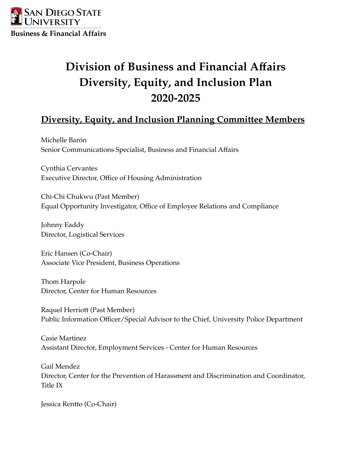

# **Division of Business and Financial Affairs Diversity, Equity, and Inclusion Plan 2020-2025**

# **Diversity, Equity, and Inclusion Planning Committee Members**

Michelle Barón Senior Communications Specialist, Business and Financial Affairs

Cynthia Cervantes Executive Director, Office of Housing Administration

Chi-Chi Chukwu (Past Member) Equal Opportunity Investigator, Office of Employee Relations and Compliance

Johnny Eaddy Director, Logistical Services

Eric Hansen (Co-Chair) Associate Vice President, Business Operations

Thom Harpole Director, Center for Human Resources

Raquel Herriott (Past Member) Public Information Officer/Special Advisor to the Chief, University Police Department

Casie Martinez Assistant Director, Employment Services - Center for Human Resources

Gail Mendez Director, Center for the Prevention of Harassment and Discrimination and Coordinator, Title IX

Jessica Rentto (Co-Chair)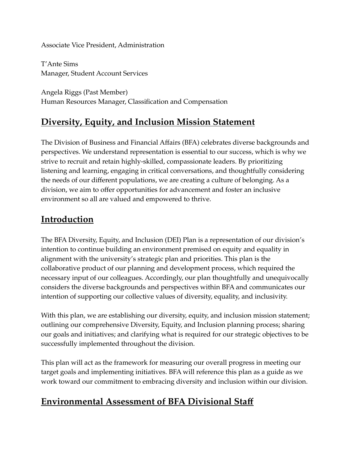### Associate Vice President, Administration

T'Ante Sims Manager, Student Account Services

Angela Riggs (Past Member) Human Resources Manager, Classification and Compensation

# **Diversity, Equity, and Inclusion Mission Statement**

The Division of Business and Financial Affairs (BFA) celebrates diverse backgrounds and perspectives. We understand representation is essential to our success, which is why we strive to recruit and retain highly-skilled, compassionate leaders. By prioritizing listening and learning, engaging in critical conversations, and thoughtfully considering the needs of our different populations, we are creating a culture of belonging. As a division, we aim to offer opportunities for advancement and foster an inclusive environment so all are valued and empowered to thrive.

# **Introduction**

The BFA Diversity, Equity, and Inclusion (DEI) Plan is a representation of our division's intention to continue building an environment premised on equity and equality in alignment with the university's strategic plan and priorities. This plan is the collaborative product of our planning and development process, which required the necessary input of our colleagues. Accordingly, our plan thoughtfully and unequivocally considers the diverse backgrounds and perspectives within BFA and communicates our intention of supporting our collective values of diversity, equality, and inclusivity.

With this plan, we are establishing our diversity, equity, and inclusion mission statement; outlining our comprehensive Diversity, Equity, and Inclusion planning process; sharing our goals and initiatives; and clarifying what is required for our strategic objectives to be successfully implemented throughout the division.

This plan will act as the framework for measuring our overall progress in meeting our target goals and implementing initiatives. BFA will reference this plan as a guide as we work toward our commitment to embracing diversity and inclusion within our division.

# **Environmental Assessment of BFA Divisional Staff**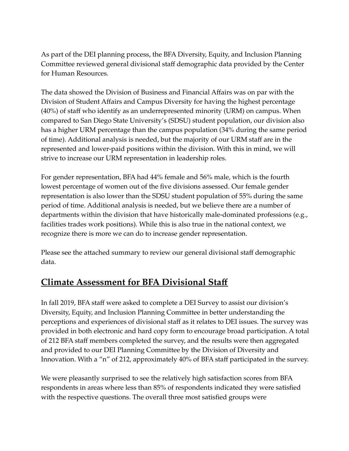As part of the DEI planning process, the BFA Diversity, Equity, and Inclusion Planning Committee reviewed general divisional staff demographic data provided by the Center for Human Resources.

The data showed the Division of Business and Financial Affairs was on par with the Division of Student Affairs and Campus Diversity for having the highest percentage (40%) of staff who identify as an underrepresented minority (URM) on campus. When compared to San Diego State University's (SDSU) student population, our division also has a higher URM percentage than the campus population (34% during the same period of time). Additional analysis is needed, but the majority of our URM staff are in the represented and lower-paid positions within the division. With this in mind, we will strive to increase our URM representation in leadership roles.

For gender representation, BFA had 44% female and 56% male, which is the fourth lowest percentage of women out of the five divisions assessed. Our female gender representation is also lower than the SDSU student population of 55% during the same period of time. Additional analysis is needed, but we believe there are a number of departments within the division that have historically male-dominated professions (e.g., facilities trades work positions). While this is also true in the national context, we recognize there is more we can do to increase gender representation.

Please see the attached summary to review our general divisional staff demographic data.

# **Climate Assessment for BFA Divisional Staff**

In fall 2019, BFA staff were asked to complete a DEI Survey to assist our division's Diversity, Equity, and Inclusion Planning Committee in better understanding the perceptions and experiences of divisional staff as it relates to DEI issues. The survey was provided in both electronic and hard copy form to encourage broad participation. A total of 212 BFA staff members completed the survey, and the results were then aggregated and provided to our DEI Planning Committee by the Division of Diversity and Innovation. With a "n" of 212, approximately 40% of BFA staff participated in the survey.

We were pleasantly surprised to see the relatively high satisfaction scores from BFA respondents in areas where less than 85% of respondents indicated they were satisfied with the respective questions. The overall three most satisfied groups were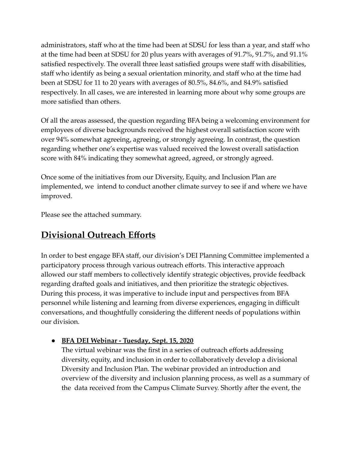administrators, staff who at the time had been at SDSU for less than a year, and staff who at the time had been at SDSU for 20 plus years with averages of 91.7%, 91.7%, and 91.1% satisfied respectively. The overall three least satisfied groups were staff with disabilities, staff who identify as being a sexual orientation minority, and staff who at the time had been at SDSU for 11 to 20 years with averages of 80.5%, 84.6%, and 84.9% satisfied respectively. In all cases, we are interested in learning more about why some groups are more satisfied than others.

Of all the areas assessed, the question regarding BFA being a welcoming environment for employees of diverse backgrounds received the highest overall satisfaction score with over 94% somewhat agreeing, agreeing, or strongly agreeing. In contrast, the question regarding whether one's expertise was valued received the lowest overall satisfaction score with 84% indicating they somewhat agreed, agreed, or strongly agreed.

Once some of the initiatives from our Diversity, Equity, and Inclusion Plan are implemented, we intend to conduct another climate survey to see if and where we have improved.

Please see the attached summary.

# **Divisional Outreach Efforts**

In order to best engage BFA staff, our division's DEI Planning Committee implemented a participatory process through various outreach efforts. This interactive approach allowed our staff members to collectively identify strategic objectives, provide feedback regarding drafted goals and initiatives, and then prioritize the strategic objectives. During this process, it was imperative to include input and perspectives from BFA personnel while listening and learning from diverse experiences, engaging in difficult conversations, and thoughtfully considering the different needs of populations within our division.

# **● BFA DEI Webinar - Tuesday, Sept. 15, 2020**

The virtual webinar was the first in a series of outreach efforts addressing diversity, equity, and inclusion in order to collaboratively develop a divisional Diversity and Inclusion Plan. The webinar provided an introduction and overview of the diversity and inclusion planning process, as well as a summary of the data received from the Campus Climate Survey. Shortly after the event, the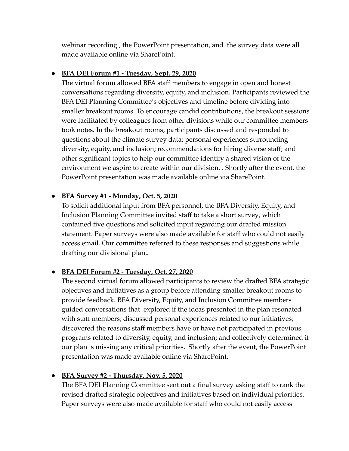webinar recording , the PowerPoint presentation, and the survey data were all made available online via SharePoint.

### **● BFA DEI Forum #1 - Tuesday, Sept. 29, 2020**

The virtual forum allowed BFA staff members to engage in open and honest conversations regarding diversity, equity, and inclusion. Participants reviewed the BFA DEI Planning Committee's objectives and timeline before dividing into smaller breakout rooms. To encourage candid contributions, the breakout sessions were facilitated by colleagues from other divisions while our committee members took notes. In the breakout rooms, participants discussed and responded to questions about the climate survey data; personal experiences surrounding diversity, equity, and inclusion; recommendations for hiring diverse staff; and other significant topics to help our committee identify a shared vision of the environment we aspire to create within our division. . Shortly after the event, the PowerPoint presentation was made available online via SharePoint.

## **● BFA Survey #1 - Monday, Oct. 5, 2020**

To solicit additional input from BFA personnel, the BFA Diversity, Equity, and Inclusion Planning Committee invited staff to take a short survey, which contained five questions and solicited input regarding our drafted mission statement. Paper surveys were also made available for staff who could not easily access email. Our committee referred to these responses and suggestions while drafting our divisional plan..

# **● BFA DEI Forum #2 - Tuesday, Oct. 27, 2020**

The second virtual forum allowed participants to review the drafted BFA strategic objectives and initiatives as a group before attending smaller breakout rooms to provide feedback. BFA Diversity, Equity, and Inclusion Committee members guided conversations that explored if the ideas presented in the plan resonated with staff members; discussed personal experiences related to our initiatives; discovered the reasons staff members have or have not participated in previous programs related to diversity, equity, and inclusion; and collectively determined if our plan is missing any critical priorities. Shortly after the event, the PowerPoint presentation was made available online via SharePoint.

# **● BFA Survey #2 - Thursday, Nov. 5, 2020**

The BFA DEI Planning Committee sent out a final survey asking staff to rank the revised drafted strategic objectives and initiatives based on individual priorities. Paper surveys were also made available for staff who could not easily access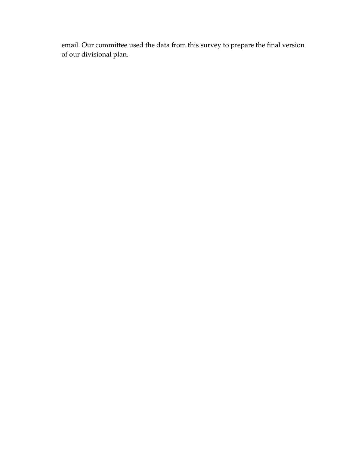email. Our committee used the data from this survey to prepare the final version of our divisional plan.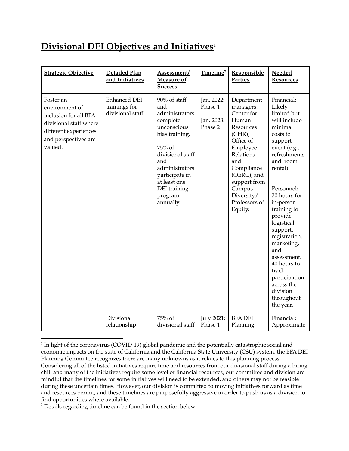# **Divisional DEI Objectives and Initiatives 1**

| <b>Strategic Objective</b>                                                                                                                 | Detailed Plan<br>and Initiatives                   | Assessment/<br>Measure of<br><b>Success</b>                                                                                                                                                                         | Timeline <sup>2</sup>                          | Responsible<br><b>Parties</b>                                                                                                                                                                                          | Needed<br><b>Resources</b>                                                                                                                                                                                                                                                                                                                                                                      |
|--------------------------------------------------------------------------------------------------------------------------------------------|----------------------------------------------------|---------------------------------------------------------------------------------------------------------------------------------------------------------------------------------------------------------------------|------------------------------------------------|------------------------------------------------------------------------------------------------------------------------------------------------------------------------------------------------------------------------|-------------------------------------------------------------------------------------------------------------------------------------------------------------------------------------------------------------------------------------------------------------------------------------------------------------------------------------------------------------------------------------------------|
| Foster an<br>environment of<br>inclusion for all BFA<br>divisional staff where<br>different experiences<br>and perspectives are<br>valued. | Enhanced DEI<br>trainings for<br>divisional staff. | 90% of staff<br>and<br>administrators<br>complete<br>unconscious<br>bias training.<br>75% of<br>divisional staff<br>and<br>administrators<br>participate in<br>at least one<br>DEI training<br>program<br>annually. | Jan. 2022:<br>Phase 1<br>Jan. 2023:<br>Phase 2 | Department<br>managers,<br>Center for<br>Human<br>Resources<br>$(CHR)$ ,<br>Office of<br>Employee<br>Relations<br>and<br>Compliance<br>(OERC), and<br>support from<br>Campus<br>Diversity/<br>Professors of<br>Equity. | Financial:<br>Likely<br>limited but<br>will include<br>minimal<br>costs to<br>support<br>event (e.g.,<br>refreshments<br>and room<br>rental).<br>Personnel:<br>20 hours for<br>in-person<br>training to<br>provide<br>logistical<br>support,<br>registration,<br>marketing,<br>and<br>assessment.<br>40 hours to<br>track<br>participation<br>across the<br>division<br>throughout<br>the year. |
|                                                                                                                                            | Divisional<br>relationship                         | 75% of<br>divisional staff                                                                                                                                                                                          | <b>July 2021:</b><br>Phase 1                   | <b>BFA DEI</b><br>Planning                                                                                                                                                                                             | Financial:<br>Approximate                                                                                                                                                                                                                                                                                                                                                                       |

 $^1$ In light of the coronavirus (COVID-19) global pandemic and the potentially catastrophic social and economic impacts on the state of California and the California State University (CSU) system, the BFA DEI Planning Committee recognizes there are many unknowns as it relates to this planning process. Considering all of the listed initiatives require time and resources from our divisional staff during a hiring chill and many of the initiatives require some level of financial resources, our committee and division are mindful that the timelines for some initiatives will need to be extended, and others may not be feasible during these uncertain times. However, our division is committed to moving initiatives forward as time and resources permit, and these timelines are purposefully aggressive in order to push us as a division to find opportunities where available.

 $2$  Details regarding timeline can be found in the section below.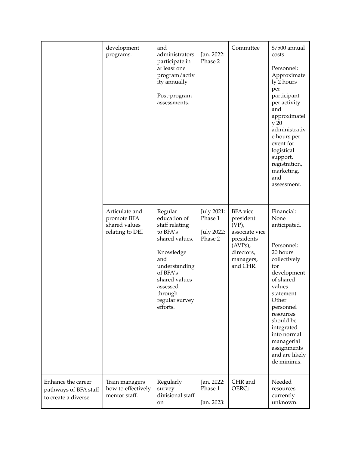|                                                                    | development<br>programs.                                          | and<br>administrators<br>participate in<br>at least one<br>program/activ<br>ity annually<br>Post-program<br>assessments.                                                                       | Jan. 2022:<br>Phase 2                                 | Committee                                                                                                                     | \$7500 annual<br>costs<br>Personnel:<br>Approximate<br>ly 2 hours<br>per<br>participant<br>per activity<br>and<br>approximatel<br>y 20<br>administrativ<br>e hours per<br>event for<br>logistical<br>support,<br>registration,<br>marketing,<br>and<br>assessment.                 |
|--------------------------------------------------------------------|-------------------------------------------------------------------|------------------------------------------------------------------------------------------------------------------------------------------------------------------------------------------------|-------------------------------------------------------|-------------------------------------------------------------------------------------------------------------------------------|------------------------------------------------------------------------------------------------------------------------------------------------------------------------------------------------------------------------------------------------------------------------------------|
|                                                                    | Articulate and<br>promote BFA<br>shared values<br>relating to DEI | Regular<br>education of<br>staff relating<br>to BFA's<br>shared values.<br>Knowledge<br>and<br>understanding<br>of BFA's<br>shared values<br>assessed<br>through<br>regular survey<br>efforts. | July 2021:<br>Phase 1<br><b>July 2022:</b><br>Phase 2 | <b>BFA</b> vice<br>president<br>$(VP)$ ,<br>associate vice<br>presidents<br>$(AVPs)$ ,<br>directors,<br>managers,<br>and CHR. | Financial:<br>None<br>anticipated.<br>Personnel:<br>20 hours<br>collectively<br>for<br>development<br>of shared<br>values<br>statement.<br>Other<br>personnel<br>resources<br>should be<br>integrated<br>into normal<br>managerial<br>assignments<br>and are likely<br>de minimis. |
| Enhance the career<br>pathways of BFA staff<br>to create a diverse | Train managers<br>how to effectively<br>mentor staff.             | Regularly<br>survey<br>divisional staff<br>on                                                                                                                                                  | Jan. 2022:<br>Phase 1<br>Jan. 2023:                   | CHR and<br>OERC;                                                                                                              | Needed<br>resources<br>currently<br>unknown.                                                                                                                                                                                                                                       |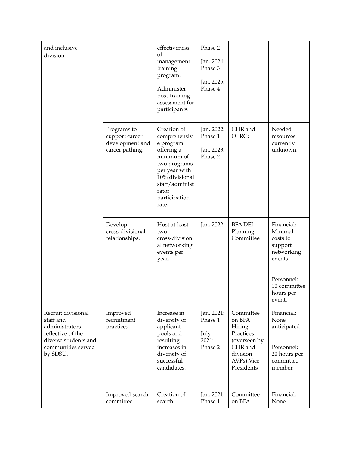| and inclusive<br>division.                                                                                                       |                                                                     | effectiveness<br>of<br>management<br>training<br>program.<br>Administer<br>post-training<br>assessment for<br>participants.                                                  | Phase 2<br>Jan. 2024:<br>Phase 3<br>Jan. 2025:<br>Phase 4 |                                                                                                                |                                                                                                                            |
|----------------------------------------------------------------------------------------------------------------------------------|---------------------------------------------------------------------|------------------------------------------------------------------------------------------------------------------------------------------------------------------------------|-----------------------------------------------------------|----------------------------------------------------------------------------------------------------------------|----------------------------------------------------------------------------------------------------------------------------|
|                                                                                                                                  | Programs to<br>support career<br>development and<br>career pathing. | Creation of<br>comprehensiv<br>e program<br>offering a<br>minimum of<br>two programs<br>per year with<br>10% divisional<br>staff/administ<br>rator<br>participation<br>rate. | Jan. 2022:<br>Phase 1<br>Jan. 2023:<br>Phase 2            | CHR and<br>OERC;                                                                                               | Needed<br>resources<br>currently<br>unknown.                                                                               |
|                                                                                                                                  | Develop<br>cross-divisional<br>relationships.                       | Host at least<br>two<br>cross-division<br>al networking<br>events per<br>year.                                                                                               | Jan. 2022                                                 | <b>BFA DEI</b><br>Planning<br>Committee                                                                        | Financial:<br>Minimal<br>costs to<br>support<br>networking<br>events.<br>Personnel:<br>10 committee<br>hours per<br>event. |
| Recruit divisional<br>staff and<br>administrators<br>reflective of the<br>diverse students and<br>communities served<br>by SDSU. | Improved<br>recruitment<br>practices.                               | Increase in<br>diversity of<br>applicant<br>pools and<br>resulting<br>increases in<br>diversity of<br>successful<br>candidates.                                              | Jan. 2021:<br>Phase 1<br>July.<br>2021:<br>Phase 2        | Committee<br>on BFA<br>Hiring<br>Practices<br>(overseen by<br>CHR and<br>division<br>AVPs). Vice<br>Presidents | Financial:<br>None<br>anticipated.<br>Personnel:<br>20 hours per<br>committee<br>member.                                   |
|                                                                                                                                  | Improved search<br>committee                                        | Creation of<br>search                                                                                                                                                        | Jan. 2021:<br>Phase 1                                     | Committee<br>on BFA                                                                                            | Financial:<br>None                                                                                                         |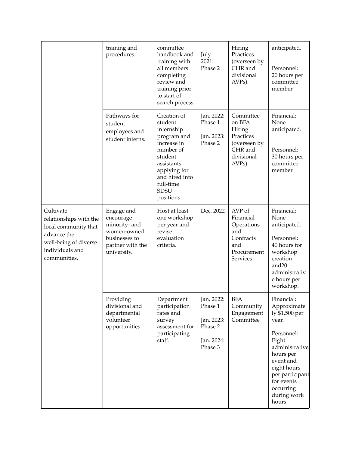|                                                                                                                                        | training and<br>procedures.                                                                                 | committee<br>handbook and<br>training with<br>all members<br>completing<br>review and<br>training prior<br>to start of<br>search process.                                            | July.<br>2021:<br>Phase 2                                               | Hiring<br>Practices<br>(overseen by<br>CHR and<br>divisional<br>AVPs).                                     | anticipated.<br>Personnel:<br>20 hours per<br>committee<br>member.                                                                                                                                            |
|----------------------------------------------------------------------------------------------------------------------------------------|-------------------------------------------------------------------------------------------------------------|--------------------------------------------------------------------------------------------------------------------------------------------------------------------------------------|-------------------------------------------------------------------------|------------------------------------------------------------------------------------------------------------|---------------------------------------------------------------------------------------------------------------------------------------------------------------------------------------------------------------|
|                                                                                                                                        | Pathways for<br>student<br>employees and<br>student interns.                                                | Creation of<br>student<br>internship<br>program and<br>increase in<br>number of<br>student<br>assistants<br>applying for<br>and hired into<br>full-time<br><b>SDSU</b><br>positions. | Jan. 2022:<br>Phase 1<br>Jan. 2023:<br>Phase 2                          | Committee<br>on BFA<br>Hiring<br>Practices<br>(overseen by<br>CHR and<br>divisional<br>AVP <sub>s</sub> ). | Financial:<br>None<br>anticipated.<br>Personnel:<br>30 hours per<br>committee<br>member.                                                                                                                      |
| Cultivate<br>relationships with the<br>local community that<br>advance the<br>well-being of diverse<br>individuals and<br>communities. | Engage and<br>encourage<br>minority- and<br>women-owned<br>businesses to<br>partner with the<br>university. | Host at least<br>one workshop<br>per year and<br>revise<br>evaluation<br>criteria.                                                                                                   | Dec. 2022                                                               | AVP of<br>Financial<br>Operations<br>and<br>Contracts<br>and<br>Procurement<br>Services.                   | Financial:<br>None<br>anticipated.<br>Personnel:<br>40 hours for<br>workshop<br>creation<br>and <sub>20</sub><br>administrativ<br>e hours per<br>workshop.                                                    |
|                                                                                                                                        | Providing<br>divisional and<br>departmental<br>volunteer<br>opportunities.                                  | Department<br>participation<br>rates and<br>survey<br>assessment for<br>participating<br>staff.                                                                                      | Jan. 2022:<br>Phase 1<br>Jan. 2023:<br>Phase 2<br>Jan. 2024:<br>Phase 3 | <b>BFA</b><br>Community<br>Engagement<br>Committee                                                         | Financial:<br>Approximate<br>ly \$1,500 per<br>year.<br>Personnel:<br>Eight<br>administrative<br>hours per<br>event and<br>eight hours<br>per participant<br>for events<br>occurring<br>during work<br>hours. |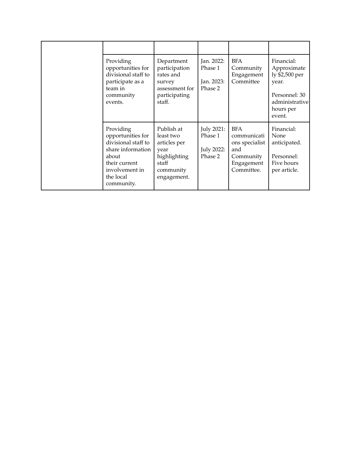| Providing<br>opportunities for<br>divisional staff to<br>participate as a<br>team in<br>community<br>events.                                      | Department<br>participation<br>rates and<br>survey<br>assessment for<br>participating<br>staff.      | Jan. 2022:<br>Phase 1<br>Jan. 2023:<br>Phase 2 | <b>BFA</b><br>Community<br>Engagement<br>Committee                                          | Financial:<br>Approximate<br>ly \$2,500 per<br>year.<br>Personnel: 30<br>administrative<br>hours per<br>event. |
|---------------------------------------------------------------------------------------------------------------------------------------------------|------------------------------------------------------------------------------------------------------|------------------------------------------------|---------------------------------------------------------------------------------------------|----------------------------------------------------------------------------------------------------------------|
| Providing<br>opportunities for<br>divisional staff to<br>share information<br>about<br>their current<br>involvement in<br>the local<br>community. | Publish at<br>least two<br>articles per<br>year<br>highlighting<br>staff<br>community<br>engagement. | July 2021:<br>Phase 1<br>July 2022:<br>Phase 2 | <b>BFA</b><br>communicati<br>ons specialist<br>and<br>Community<br>Engagement<br>Committee. | Financial:<br>None<br>anticipated.<br>Personnel:<br>Five hours<br>per article.                                 |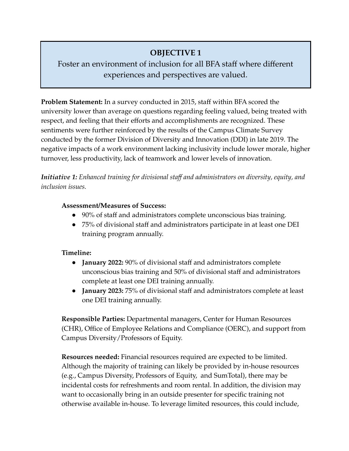# **OBJECTIVE 1**

# Foster an environment of inclusion for all BFA staff where different experiences and perspectives are valued.

**Problem Statement:** In a survey conducted in 2015, staff within BFA scored the university lower than average on questions regarding feeling valued, being treated with respect, and feeling that their efforts and accomplishments are recognized. These sentiments were further reinforced by the results of the Campus Climate Survey conducted by the former Division of Diversity and Innovation (DDI) in late 2019. The negative impacts of a work environment lacking inclusivity include lower morale, higher turnover, less productivity, lack of teamwork and lower levels of innovation.

*Initiative 1: Enhanced training for divisional staff and administrators on diversity, equity, and inclusion issues.*

#### **Assessment/Measures of Success:**

- 90% of staff and administrators complete unconscious bias training.
- 75% of divisional staff and administrators participate in at least one DEI training program annually.

### **Timeline:**

- **January 2022:** 90% of divisional staff and administrators complete unconscious bias training and 50% of divisional staff and administrators complete at least one DEI training annually.
- **January 2023:** 75% of divisional staff and administrators complete at least one DEI training annually.

**Responsible Parties:** Departmental managers, Center for Human Resources (CHR), Office of Employee Relations and Compliance (OERC), and support from Campus Diversity/Professors of Equity.

**Resources needed:** Financial resources required are expected to be limited. Although the majority of training can likely be provided by in-house resources (e.g., Campus Diversity, Professors of Equity, and SumTotal), there may be incidental costs for refreshments and room rental. In addition, the division may want to occasionally bring in an outside presenter for specific training not otherwise available in-house. To leverage limited resources, this could include,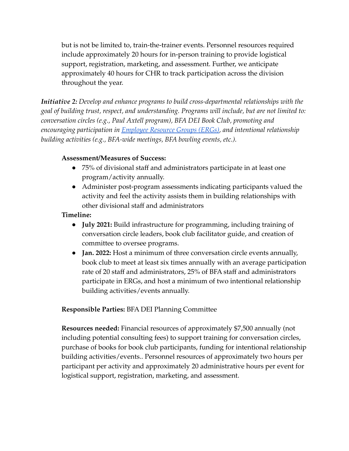but is not be limited to, train-the-trainer events. Personnel resources required include approximately 20 hours for in-person training to provide logistical support, registration, marketing, and assessment. Further, we anticipate approximately 40 hours for CHR to track participation across the division throughout the year.

*Initiative 2: Develop and enhance programs to build cross-departmental relationships with the goal of building trust, respect, and understanding. Programs will include, but are not limited to: conversation circles (e.g., Paul Axtell program), BFA DEI Book Club, promoting and encouraging participation in [Employee](https://sacd.sdsu.edu/ergs) Resource Groups (ERGs), and intentional relationship building activities (e.g., BFA-wide meetings, BFA bowling events, etc.).*

## **Assessment/Measures of Success:**

- 75% of divisional staff and administrators participate in at least one program/activity annually.
- Administer post-program assessments indicating participants valued the activity and feel the activity assists them in building relationships with other divisional staff and administrators

## **Timeline:**

- **July 2021:** Build infrastructure for programming, including training of conversation circle leaders, book club facilitator guide, and creation of committee to oversee programs.
- **● Jan. 2022:** Host a minimum of three conversation circle events annually, book club to meet at least six times annually with an average participation rate of 20 staff and administrators, 25% of BFA staff and administrators participate in ERGs, and host a minimum of two intentional relationship building activities/events annually.

# **Responsible Parties:** BFA DEI Planning Committee

**Resources needed:** Financial resources of approximately \$7,500 annually (not including potential consulting fees) to support training for conversation circles, purchase of books for book club participants, funding for intentional relationship building activities/events.. Personnel resources of approximately two hours per participant per activity and approximately 20 administrative hours per event for logistical support, registration, marketing, and assessment.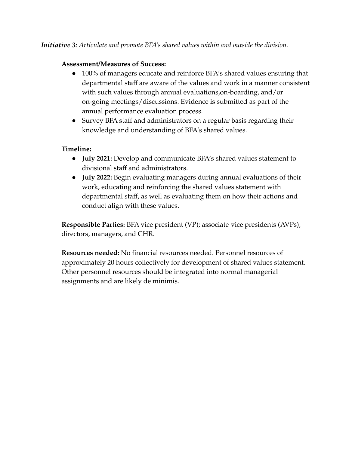## **Assessment/Measures of Success:**

- 100% of managers educate and reinforce BFA's shared values ensuring that departmental staff are aware of the values and work in a manner consistent with such values through annual evaluations,on-boarding, and/or on-going meetings/discussions. Evidence is submitted as part of the annual performance evaluation process.
- Survey BFA staff and administrators on a regular basis regarding their knowledge and understanding of BFA's shared values.

# **Timeline:**

- **● July 2021:** Develop and communicate BFA's shared values statement to divisional staff and administrators.
- **● July 2022:** Begin evaluating managers during annual evaluations of their work, educating and reinforcing the shared values statement with departmental staff, as well as evaluating them on how their actions and conduct align with these values.

**Responsible Parties:** BFA vice president (VP); associate vice presidents (AVPs), directors, managers, and CHR.

**Resources needed:** No financial resources needed. Personnel resources of approximately 20 hours collectively for development of shared values statement. Other personnel resources should be integrated into normal managerial assignments and are likely de minimis.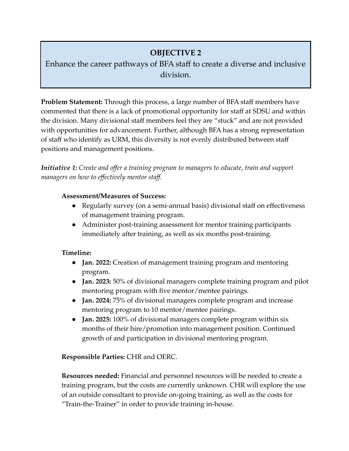# **OBJECTIVE 2**

# Enhance the career pathways of BFA staff to create a diverse and inclusive division.

**Problem Statement:** Through this process, a large number of BFA staff members have commented that there is a lack of promotional opportunity for staff at SDSU and within the division. Many divisional staff members feel they are "stuck" and are not provided with opportunities for advancement. Further, although BFA has a strong representation of staff who identify as URM, this diversity is not evenly distributed between staff positions and management positions.

*Initiative 1: Create and offer a training program to managers to educate, train and support managers on how to effectively mentor staff.*

#### **Assessment/Measures of Success:**

- Regularly survey (on a semi-annual basis) divisional staff on effectiveness of management training program.
- Administer post-training assessment for mentor training participants immediately after training, as well as six months post-training.

### **Timeline:**

- **● Jan. 2022:** Creation of management training program and mentoring program.
- **● Jan. 2023:** 50% of divisional managers complete training program and pilot mentoring program with five mentor/mentee pairings.
- **Jan. 2024:** 75% of divisional managers complete program and increase mentoring program to 10 mentor/mentee pairings.
- **Jan. 2025:** 100% of divisional managers complete program within six months of their hire/promotion into management position. Continued growth of and participation in divisional mentoring program.

### **Responsible Parties:** CHR and OERC.

**Resources needed:** Financial and personnel resources will be needed to create a training program, but the costs are currently unknown. CHR will explore the use of an outside consultant to provide on-going training, as well as the costs for "Train-the-Trainer" in order to provide training in-house.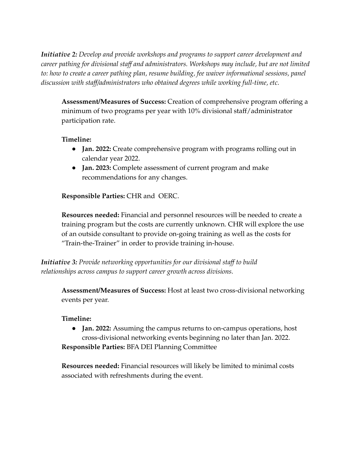*Initiative 2: Develop and provide workshops and programs to support career development and career pathing for divisional staff and administrators. Workshops may include, but are not limited to: how to create a career pathing plan, resume building, fee waiver informational sessions, panel discussion with staff/administrators who obtained degrees while working full-time, etc.*

**Assessment/Measures of Success:** Creation of comprehensive program offering a minimum of two programs per year with 10% divisional staff/administrator participation rate.

### **Timeline:**

- **● Jan. 2022:** Create comprehensive program with programs rolling out in calendar year 2022.
- **● Jan. 2023:** Complete assessment of current program and make recommendations for any changes.

#### **Responsible Parties:** CHR and OERC.

**Resources needed:** Financial and personnel resources will be needed to create a training program but the costs are currently unknown. CHR will explore the use of an outside consultant to provide on-going training as well as the costs for "Train-the-Trainer" in order to provide training in-house.

*Initiative 3: Provide networking opportunities for our divisional staff to build relationships across campus to support career growth across divisions.*

**Assessment/Measures of Success:** Host at least two cross-divisional networking events per year.

#### **Timeline:**

**● Jan. 2022:** Assuming the campus returns to on-campus operations, host cross-divisional networking events beginning no later than Jan. 2022.

**Responsible Parties:** BFA DEI Planning Committee

**Resources needed:** Financial resources will likely be limited to minimal costs associated with refreshments during the event.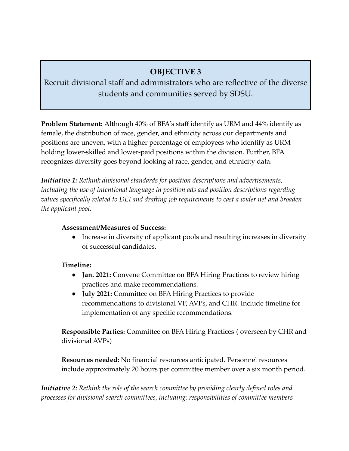# **OBJECTIVE 3**

Recruit divisional staff and administrators who are reflective of the diverse students and communities served by SDSU.

**Problem Statement:** Although 40% of BFA's staff identify as URM and 44% identify as female, the distribution of race, gender, and ethnicity across our departments and positions are uneven, with a higher percentage of employees who identify as URM holding lower-skilled and lower-paid positions within the division. Further, BFA recognizes diversity goes beyond looking at race, gender, and ethnicity data.

*Initiative 1: Rethink divisional standards for position descriptions and advertisements, including the use of intentional language in position ads and position descriptions regarding values specifically related to DEI and drafting job requirements to cast a wider net and broaden the applicant pool.*

### **Assessment/Measures of Success:**

• Increase in diversity of applicant pools and resulting increases in diversity of successful candidates.

# **Timeline:**

- **● Jan. 2021:** Convene Committee on BFA Hiring Practices to review hiring practices and make recommendations.
- **July 2021:** Committee on BFA Hiring Practices to provide recommendations to divisional VP, AVPs, and CHR. Include timeline for implementation of any specific recommendations.

**Responsible Parties:** Committee on BFA Hiring Practices ( overseen by CHR and divisional AVPs)

**Resources needed:** No financial resources anticipated. Personnel resources include approximately 20 hours per committee member over a six month period.

*Initiative 2: Rethink the role of the search committee by providing clearly defined roles and processes for divisional search committees, including: responsibilities of committee members*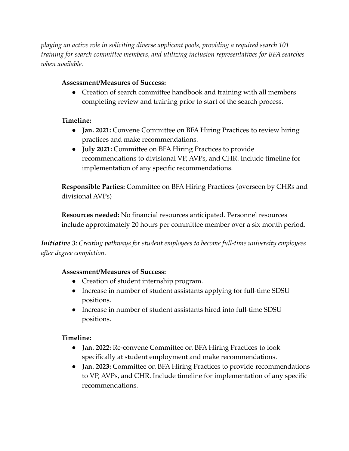*playing an active role in soliciting diverse applicant pools, providing a required search 101 training for search committee members, and utilizing inclusion representatives for BFA searches when available.*

# **Assessment/Measures of Success:**

• Creation of search committee handbook and training with all members completing review and training prior to start of the search process.

# **Timeline:**

- **Jan. 2021:** Convene Committee on BFA Hiring Practices to review hiring practices and make recommendations.
- **July 2021:** Committee on BFA Hiring Practices to provide recommendations to divisional VP, AVPs, and CHR. Include timeline for implementation of any specific recommendations.

**Responsible Parties:** Committee on BFA Hiring Practices (overseen by CHRs and divisional AVPs)

**Resources needed:** No financial resources anticipated. Personnel resources include approximately 20 hours per committee member over a six month period.

*Initiative 3: Creating pathways for student employees to become full-time university employees after degree completion.*

### **Assessment/Measures of Success:**

- Creation of student internship program.
- Increase in number of student assistants applying for full-time SDSU positions.
- Increase in number of student assistants hired into full-time SDSU positions.

### **Timeline:**

- **Jan. 2022:** Re-convene Committee on BFA Hiring Practices to look specifically at student employment and make recommendations.
- **Jan. 2023:** Committee on BFA Hiring Practices to provide recommendations to VP, AVPs, and CHR. Include timeline for implementation of any specific recommendations.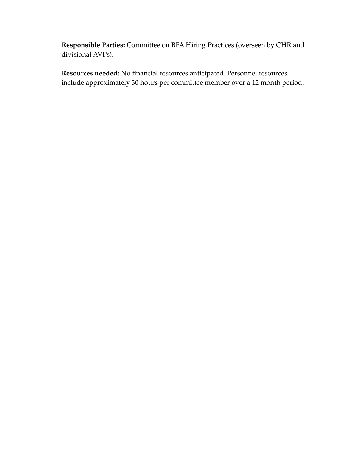**Responsible Parties:** Committee on BFA Hiring Practices (overseen by CHR and divisional AVPs).

**Resources needed:** No financial resources anticipated. Personnel resources include approximately 30 hours per committee member over a 12 month period.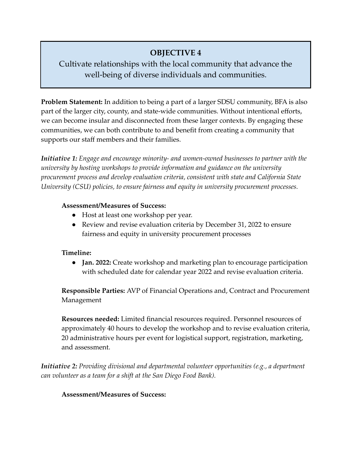# **OBJECTIVE 4**

# Cultivate relationships with the local community that advance the well-being of diverse individuals and communities.

**Problem Statement:** In addition to being a part of a larger SDSU community, BFA is also part of the larger city, county, and state-wide communities. Without intentional efforts, we can become insular and disconnected from these larger contexts. By engaging these communities, we can both contribute to and benefit from creating a community that supports our staff members and their families.

*Initiative 1: Engage and encourage minority- and women-owned businesses to partner with the university by hosting workshops to provide information and guidance on the university procurement process and develop evaluation criteria, consistent with state and California State University (CSU) policies, to ensure fairness and equity in university procurement processes.*

#### **Assessment/Measures of Success:**

- Host at least one workshop per year.
- Review and revise evaluation criteria by December 31, 2022 to ensure fairness and equity in university procurement processes

### **Timeline:**

**● Jan. 2022:** Create workshop and marketing plan to encourage participation with scheduled date for calendar year 2022 and revise evaluation criteria.

**Responsible Parties:** AVP of Financial Operations and, Contract and Procurement Management

**Resources needed:** Limited financial resources required. Personnel resources of approximately 40 hours to develop the workshop and to revise evaluation criteria, 20 administrative hours per event for logistical support, registration, marketing, and assessment.

*Initiative 2: Providing divisional and departmental volunteer opportunities (e.g., a department can volunteer as a team for a shift at the San Diego Food Bank).*

**Assessment/Measures of Success:**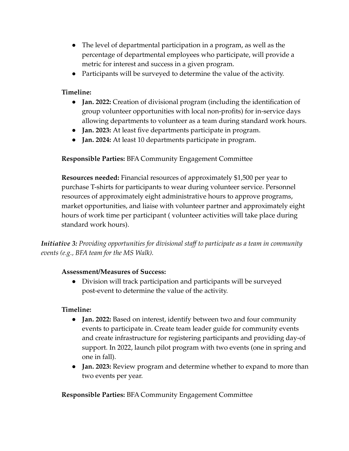- The level of departmental participation in a program, as well as the percentage of departmental employees who participate, will provide a metric for interest and success in a given program.
- Participants will be surveyed to determine the value of the activity.

# **Timeline:**

- **● Jan. 2022:** Creation of divisional program (including the identification of group volunteer opportunities with local non-profits) for in-service days allowing departments to volunteer as a team during standard work hours.
- **● Jan. 2023:** At least five departments participate in program.
- **● Jan. 2024:** At least 10 departments participate in program.

**Responsible Parties:** BFA Community Engagement Committee

**Resources needed:** Financial resources of approximately \$1,500 per year to purchase T-shirts for participants to wear during volunteer service. Personnel resources of approximately eight administrative hours to approve programs, market opportunities, and liaise with volunteer partner and approximately eight hours of work time per participant ( volunteer activities will take place during standard work hours).

*Initiative 3: Providing opportunities for divisional staff to participate as a team in community events (e.g., BFA team for the MS Walk).*

### **Assessment/Measures of Success:**

● Division will track participation and participants will be surveyed post-event to determine the value of the activity.

### **Timeline:**

- **● Jan. 2022:** Based on interest, identify between two and four community events to participate in. Create team leader guide for community events and create infrastructure for registering participants and providing day-of support. In 2022, launch pilot program with two events (one in spring and one in fall).
- **● Jan. 2023:** Review program and determine whether to expand to more than two events per year.

**Responsible Parties:** BFA Community Engagement Committee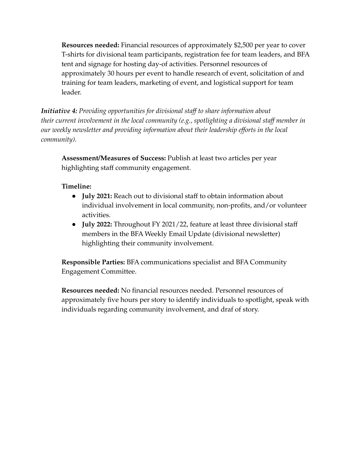**Resources needed:** Financial resources of approximately \$2,500 per year to cover T-shirts for divisional team participants, registration fee for team leaders, and BFA tent and signage for hosting day-of activities. Personnel resources of approximately 30 hours per event to handle research of event, solicitation of and training for team leaders, marketing of event, and logistical support for team leader.

*Initiative 4: Providing opportunities for divisional staff to share information about their current involvement in the local community (e.g., spotlighting a divisional staff member in our weekly newsletter and providing information about their leadership efforts in the local community).*

**Assessment/Measures of Success:** Publish at least two articles per year highlighting staff community engagement.

## **Timeline:**

- **● July 2021:** Reach out to divisional staff to obtain information about individual involvement in local community, non-profits, and/or volunteer activities.
- **● July 2022:** Throughout FY 2021/22, feature at least three divisional staff members in the BFA Weekly Email Update (divisional newsletter) highlighting their community involvement.

**Responsible Parties:** BFA communications specialist and BFA Community Engagement Committee.

**Resources needed:** No financial resources needed. Personnel resources of approximately five hours per story to identify individuals to spotlight, speak with individuals regarding community involvement, and draf of story.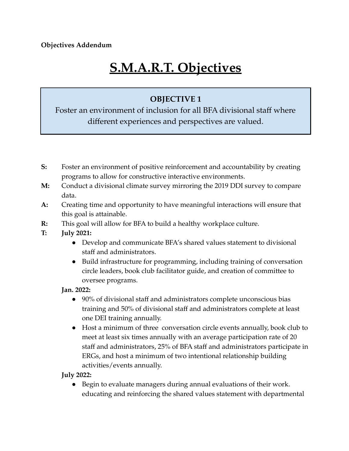**Objectives Addendum**

# **S.M.A.R.T. Objectives**

# **OBJECTIVE 1**

Foster an environment of inclusion for all BFA divisional staff where different experiences and perspectives are valued.

- **S:** Foster an environment of positive reinforcement and accountability by creating programs to allow for constructive interactive environments.
- **M:** Conduct a divisional climate survey mirroring the 2019 DDI survey to compare data.
- **A:** Creating time and opportunity to have meaningful interactions will ensure that this goal is attainable.
- **R:** This goal will allow for BFA to build a healthy workplace culture.
- **T: July 2021:**
	- Develop and communicate BFA's shared values statement to divisional staff and administrators.
	- Build infrastructure for programming, including training of conversation circle leaders, book club facilitator guide, and creation of committee to oversee programs.

### **Jan. 2022:**

- 90% of divisional staff and administrators complete unconscious bias training and 50% of divisional staff and administrators complete at least one DEI training annually.
- Host a minimum of three conversation circle events annually, book club to meet at least six times annually with an average participation rate of 20 staff and administrators, 25% of BFA staff and administrators participate in ERGs, and host a minimum of two intentional relationship building activities/events annually.

**July 2022:**

● Begin to evaluate managers during annual evaluations of their work. educating and reinforcing the shared values statement with departmental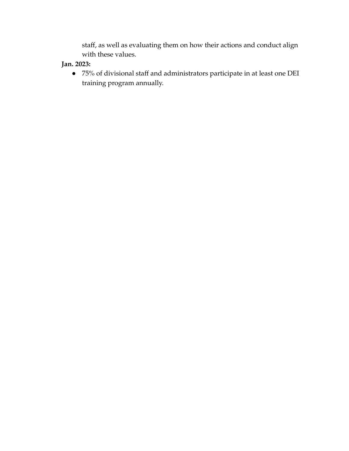staff, as well as evaluating them on how their actions and conduct align with these values.

# **Jan. 2023:**

● 75% of divisional staff and administrators participate in at least one DEI training program annually.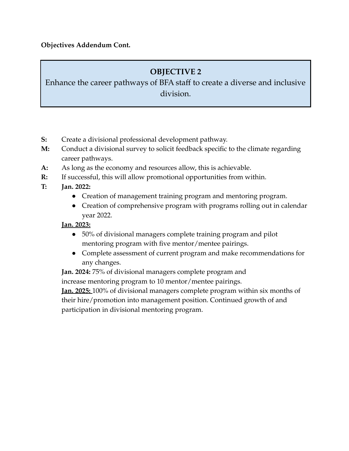**Objectives Addendum Cont.**

# **OBJECTIVE 2**

Enhance the career pathways of BFA staff to create a diverse and inclusive division.

- **S:** Create a divisional professional development pathway.
- **M:** Conduct a divisional survey to solicit feedback specific to the climate regarding career pathways.
- **A:** As long as the economy and resources allow, this is achievable.
- **R:** If successful, this will allow promotional opportunities from within.
- **T: Jan. 2022:**
	- Creation of management training program and mentoring program.
	- Creation of comprehensive program with programs rolling out in calendar year 2022.

### **Jan. 2023:**

- 50% of divisional managers complete training program and pilot mentoring program with five mentor/mentee pairings.
- Complete assessment of current program and make recommendations for any changes.

**Jan. 2024:** 75% of divisional managers complete program and increase mentoring program to 10 mentor/mentee pairings.

**Jan. 2025:** 100% of divisional managers complete program within six months of their hire/promotion into management position. Continued growth of and participation in divisional mentoring program.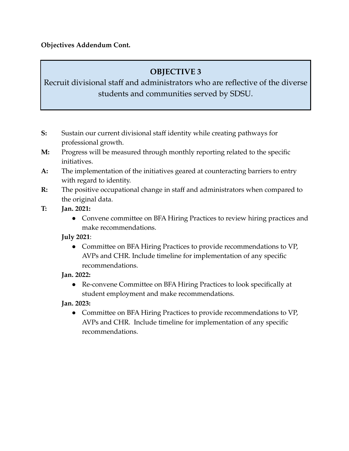**Objectives Addendum Cont.**

# **OBJECTIVE 3**

Recruit divisional staff and administrators who are reflective of the diverse students and communities served by SDSU.

- **S:** Sustain our current divisional staff identity while creating pathways for professional growth.
- **M:** Progress will be measured through monthly reporting related to the specific initiatives.
- **A:** The implementation of the initiatives geared at counteracting barriers to entry with regard to identity.
- **R:** The positive occupational change in staff and administrators when compared to the original data.
- **T: Jan. 2021:**
	- Convene committee on BFA Hiring Practices to review hiring practices and make recommendations.

**July 2021**:

● Committee on BFA Hiring Practices to provide recommendations to VP, AVPs and CHR. Include timeline for implementation of any specific recommendations.

**Jan. 2022:**

● Re-convene Committee on BFA Hiring Practices to look specifically at student employment and make recommendations.

**Jan. 2023:**

• Committee on BFA Hiring Practices to provide recommendations to VP, AVPs and CHR. Include timeline for implementation of any specific recommendations.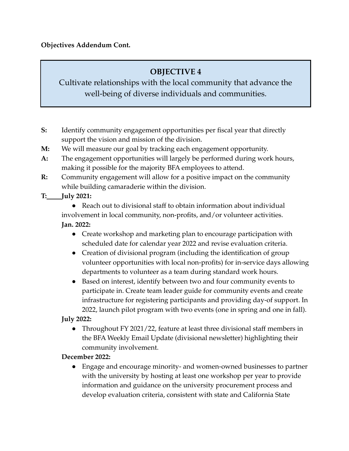**Objectives Addendum Cont.**

# **OBJECTIVE 4**

Cultivate relationships with the local community that advance the well-being of diverse individuals and communities.

- **S:** Identify community engagement opportunities per fiscal year that directly support the vision and mission of the division.
- **M:** We will measure our goal by tracking each engagement opportunity.
- **A:** The engagement opportunities will largely be performed during work hours, making it possible for the majority BFA employees to attend.
- **R:** Community engagement will allow for a positive impact on the community while building camaraderie within the division.
- **T: July 2021:**

● Reach out to divisional staff to obtain information about individual involvement in local community, non-profits, and/or volunteer activities. **Jan. 2022:**

- Create workshop and marketing plan to encourage participation with scheduled date for calendar year 2022 and revise evaluation criteria.
- Creation of divisional program (including the identification of group volunteer opportunities with local non-profits) for in-service days allowing departments to volunteer as a team during standard work hours.
- Based on interest, identify between two and four community events to participate in. Create team leader guide for community events and create infrastructure for registering participants and providing day-of support. In 2022, launch pilot program with two events (one in spring and one in fall).

**July 2022:**

• Throughout FY 2021/22, feature at least three divisional staff members in the BFA Weekly Email Update (divisional newsletter) highlighting their community involvement.

# **December 2022:**

● Engage and encourage minority- and women-owned businesses to partner with the university by hosting at least one workshop per year to provide information and guidance on the university procurement process and develop evaluation criteria, consistent with state and California State